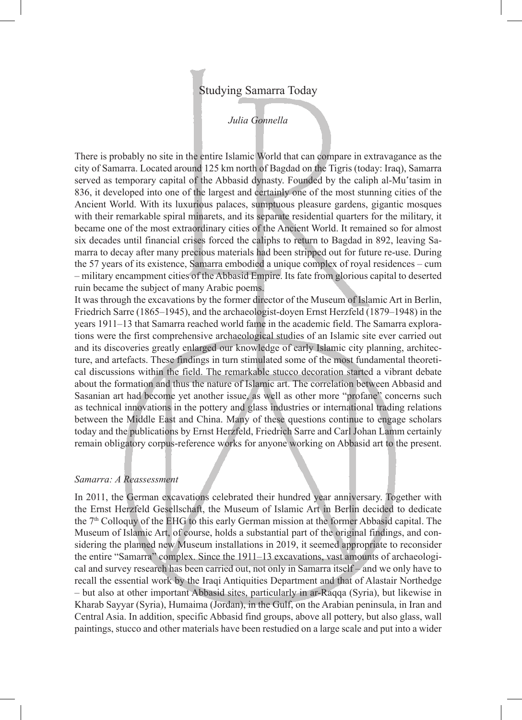## Studying Samarra Today

## *Julia Gonnella*

There is probably no site in the entire Islamic World that can compare in extravagance as the city of Samarra. Located around 125 km north of Bagdad on the Tigris (today: Iraq), Samarra served as temporary capital of the Abbasid dynasty. Founded by the caliph al-Mu'tasim in 836, it developed into one of the largest and certainly one of the most stunning cities of the Ancient World. With its luxurious palaces, sumptuous pleasure gardens, gigantic mosques with their remarkable spiral minarets, and its separate residential quarters for the military, it became one of the most extraordinary cities of the Ancient World. It remained so for almost six decades until financial crises forced the caliphs to return to Bagdad in 892, leaving Samarra to decay after many precious materials had been stripped out for future re-use. During the 57 years of its existence, Samarra embodied a unique complex of royal residences – cum – military encampment cities of the Abbasid Empire. Its fate from glorious capital to deserted ruin became the subject of many Arabic poems.

It was through the excavations by the former director of the Museum of Islamic Art in Berlin, Friedrich Sarre (1865–1945), and the archaeologist-doyen Ernst Herzfeld (1879–1948) in the years 1911–13 that Samarra reached world fame in the academic field. The Samarra explorations were the first comprehensive archaeological studies of an Islamic site ever carried out and its discoveries greatly enlarged our knowledge of early Islamic city planning, architecture, and artefacts. These findings in turn stimulated some of the most fundamental theoretical discussions within the field. The remarkable stucco decoration started a vibrant debate about the formation and thus the nature of Islamic art. The correlation between Abbasid and Sasanian art had become yet another issue, as well as other more "profane" concerns such as technical innovations in the pottery and glass industries or international trading relations between the Middle East and China. Many of these questions continue to engage scholars today and the publications by Ernst Herzfeld, Friedrich Sarre and Carl Johan Lamm certainly remain obligatory corpus-reference works for anyone working on Abbasid art to the present.

## *Samarra: A Reassessment*

In 2011, the German excavations celebrated their hundred year anniversary. Together with the Ernst Herzfeld Gesellschaft, the Museum of Islamic Art in Berlin decided to dedicate the 7th Colloquy of the EHG to this early German mission at the former Abbasid capital. The Museum of Islamic Art, of course, holds a substantial part of the original findings, and considering the planned new Museum installations in 2019, it seemed appropriate to reconsider the entire "Samarra" complex. Since the 1911–13 excavations, vast amounts of archaeological and survey research has been carried out, not only in Samarra itself – and we only have to recall the essential work by the Iraqi Antiquities Department and that of Alastair Northedge – but also at other important Abbasid sites, particularly in ar-Raqqa (Syria), but likewise in Kharab Sayyar (Syria), Humaima (Jordan), in the Gulf, on the Arabian peninsula, in Iran and Central Asia. In addition, specific Abbasid find groups, above all pottery, but also glass, wall paintings, stucco and other materials have been restudied on a large scale and put into a wider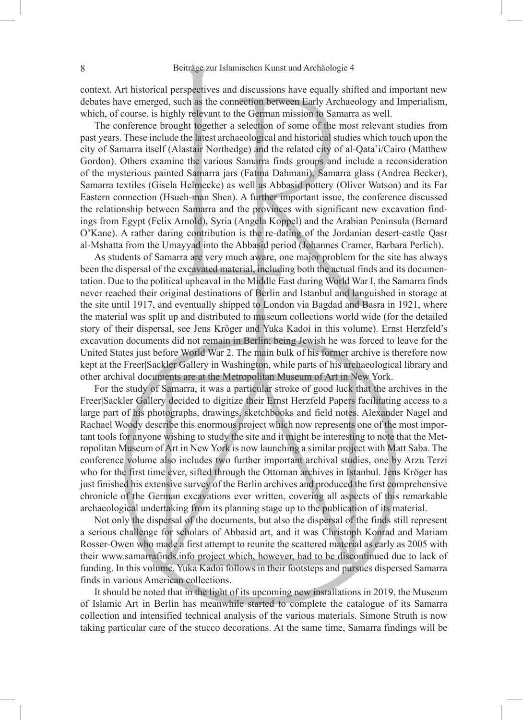context. Art historical perspectives and discussions have equally shifted and important new debates have emerged, such as the connection between Early Archaeology and Imperialism, which, of course, is highly relevant to the German mission to Samarra as well.

The conference brought together a selection of some of the most relevant studies from past years. These include the latest archaeological and historical studies which touch upon the city of Samarra itself (Alastair Northedge) and the related city of al-Qata'i/Cairo (Matthew Gordon). Others examine the various Samarra finds groups and include a reconsideration of the mysterious painted Samarra jars (Fatma Dahmani), Samarra glass (Andrea Becker), Samarra textiles (Gisela Helmecke) as well as Abbasid pottery (Oliver Watson) and its Far Eastern connection (Hsueh-man Shen). A further important issue, the conference discussed the relationship between Samarra and the provinces with significant new excavation findings from Egypt (Felix Arnold), Syria (Angela Koppel) and the Arabian Peninsula (Bernard O'Kane). A rather daring contribution is the re-dating of the Jordanian desert-castle Qasr al-Mshatta from the Umayyad into the Abbasid period (Johannes Cramer, Barbara Perlich).

As students of Samarra are very much aware, one major problem for the site has always been the dispersal of the excavated material, including both the actual finds and its documentation. Due to the political upheaval in the Middle East during World War I, the Samarra finds never reached their original destinations of Berlin and Istanbul and languished in storage at the site until 1917, and eventually shipped to London via Bagdad and Basra in 1921, where the material was split up and distributed to museum collections world wide (for the detailed story of their dispersal, see Jens Kröger and Yuka Kadoi in this volume). Ernst Herzfeld's excavation documents did not remain in Berlin; being Jewish he was forced to leave for the United States just before World War 2. The main bulk of his former archive is therefore now kept at the Freer|Sackler Gallery in Washington, while parts of his archaeological library and other archival documents are at the Metropolitan Museum of Art in New York.

For the study of Samarra, it was a particular stroke of good luck that the archives in the Freer|Sackler Gallery decided to digitize their Ernst Herzfeld Papers facilitating access to a large part of his photographs, drawings, sketchbooks and field notes. Alexander Nagel and Rachael Woody describe this enormous project which now represents one of the most important tools for anyone wishing to study the site and it might be interesting to note that the Metropolitan Museum of Art in New York is now launching a similar project with Matt Saba. The conference volume also includes two further important archival studies, one by Arzu Terzi who for the first time ever, sifted through the Ottoman archives in Istanbul. Jens Kröger has just finished his extensive survey of the Berlin archives and produced the first comprehensive chronicle of the German excavations ever written, covering all aspects of this remarkable archaeological undertaking from its planning stage up to the publication of its material.

Not only the dispersal of the documents, but also the dispersal of the finds still represent a serious challenge for scholars of Abbasid art, and it was Christoph Konrad and Mariam Rosser-Owen who made a first attempt to reunite the scattered material as early as 2005 with their www.samarrafinds.info project which, however, had to be discontinued due to lack of funding. In this volume, Yuka Kadoi follows in their footsteps and pursues dispersed Samarra finds in various American collections.

It should be noted that in the light of its upcoming new installations in 2019, the Museum of Islamic Art in Berlin has meanwhile started to complete the catalogue of its Samarra collection and intensified technical analysis of the various materials. Simone Struth is now taking particular care of the stucco decorations. At the same time, Samarra findings will be